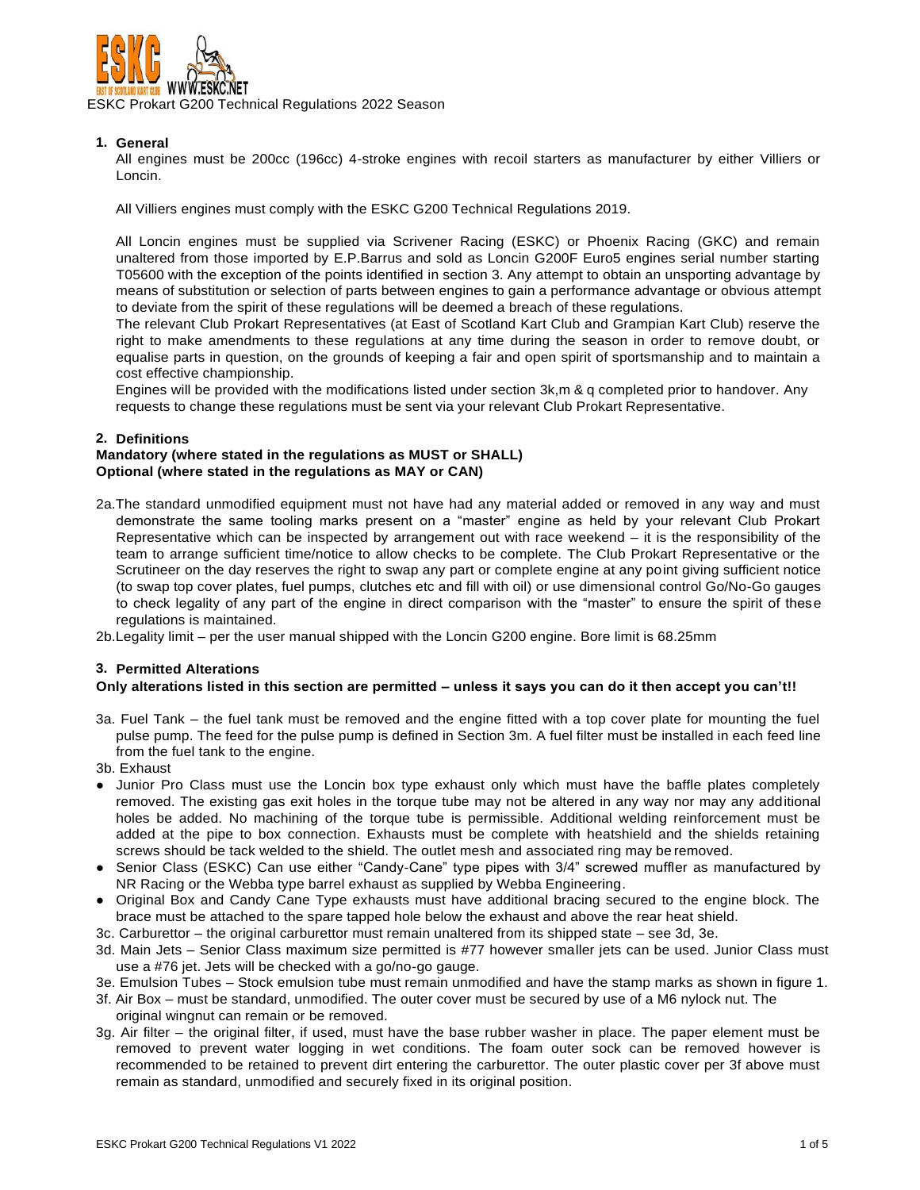

ESKC Prokart G200 Technical Regulations 2022 Season

# **1. General**

All engines must be 200cc (196cc) 4-stroke engines with recoil starters as manufacturer by either Villiers or Loncin.

All Villiers engines must comply with the ESKC G200 Technical Regulations 2019.

All Loncin engines must be supplied via Scrivener Racing (ESKC) or Phoenix Racing (GKC) and remain unaltered from those imported by E.P.Barrus and sold as Loncin G200F Euro5 engines serial number starting T05600 with the exception of the points identified in section 3. Any attempt to obtain an unsporting advantage by means of substitution or selection of parts between engines to gain a performance advantage or obvious attempt to deviate from the spirit of these regulations will be deemed a breach of these regulations.

The relevant Club Prokart Representatives (at East of Scotland Kart Club and Grampian Kart Club) reserve the right to make amendments to these regulations at any time during the season in order to remove doubt, or equalise parts in question, on the grounds of keeping a fair and open spirit of sportsmanship and to maintain a cost effective championship.

Engines will be provided with the modifications listed under section 3k,m & q completed prior to handover. Any requests to change these regulations must be sent via your relevant Club Prokart Representative.

## **2. Definitions**

## **Mandatory (where stated in the regulations as MUST or SHALL) Optional (where stated in the regulations as MAY or CAN)**

- 2a.The standard unmodified equipment must not have had any material added or removed in any way and must demonstrate the same tooling marks present on a "master" engine as held by your relevant Club Prokart Representative which can be inspected by arrangement out with race weekend – it is the responsibility of the team to arrange sufficient time/notice to allow checks to be complete. The Club Prokart Representative or the Scrutineer on the day reserves the right to swap any part or complete engine at any point giving sufficient notice (to swap top cover plates, fuel pumps, clutches etc and fill with oil) or use dimensional control Go/No-Go gauges to check legality of any part of the engine in direct comparison with the "master" to ensure the spirit of these regulations is maintained.
- 2b.Legality limit per the user manual shipped with the Loncin G200 engine. Bore limit is 68.25mm

# **3. Permitted Alterations**

#### **Only alterations listed in this section are permitted – unless it says you can do it then accept you can't!!**

- 3a. Fuel Tank the fuel tank must be removed and the engine fitted with a top cover plate for mounting the fuel pulse pump. The feed for the pulse pump is defined in Section 3m. A fuel filter must be installed in each feed line from the fuel tank to the engine.
- 3b. Exhaust
- Junior Pro Class must use the Loncin box type exhaust only which must have the baffle plates completely removed. The existing gas exit holes in the torque tube may not be altered in any way nor may any additional holes be added. No machining of the torque tube is permissible. Additional welding reinforcement must be added at the pipe to box connection. Exhausts must be complete with heatshield and the shields retaining screws should be tack welded to the shield. The outlet mesh and associated ring may be removed.
- Senior Class (ESKC) Can use either "Candy-Cane" type pipes with 3/4" screwed muffler as manufactured by NR Racing or the Webba type barrel exhaust as supplied by Webba Engineering.
- Original Box and Candy Cane Type exhausts must have additional bracing secured to the engine block. The brace must be attached to the spare tapped hole below the exhaust and above the rear heat shield.
- 3c. Carburettor the original carburettor must remain unaltered from its shipped state see 3d, 3e.
- 3d. Main Jets Senior Class maximum size permitted is #77 however smaller jets can be used. Junior Class must use a #76 jet. Jets will be checked with a go/no-go gauge.
- 3e. Emulsion Tubes Stock emulsion tube must remain unmodified and have the stamp marks as shown in figure 1.
- 3f. Air Box must be standard, unmodified. The outer cover must be secured by use of a M6 nylock nut. The original wingnut can remain or be removed.
- 3g. Air filter the original filter, if used, must have the base rubber washer in place. The paper element must be removed to prevent water logging in wet conditions. The foam outer sock can be removed however is recommended to be retained to prevent dirt entering the carburettor. The outer plastic cover per 3f above must remain as standard, unmodified and securely fixed in its original position.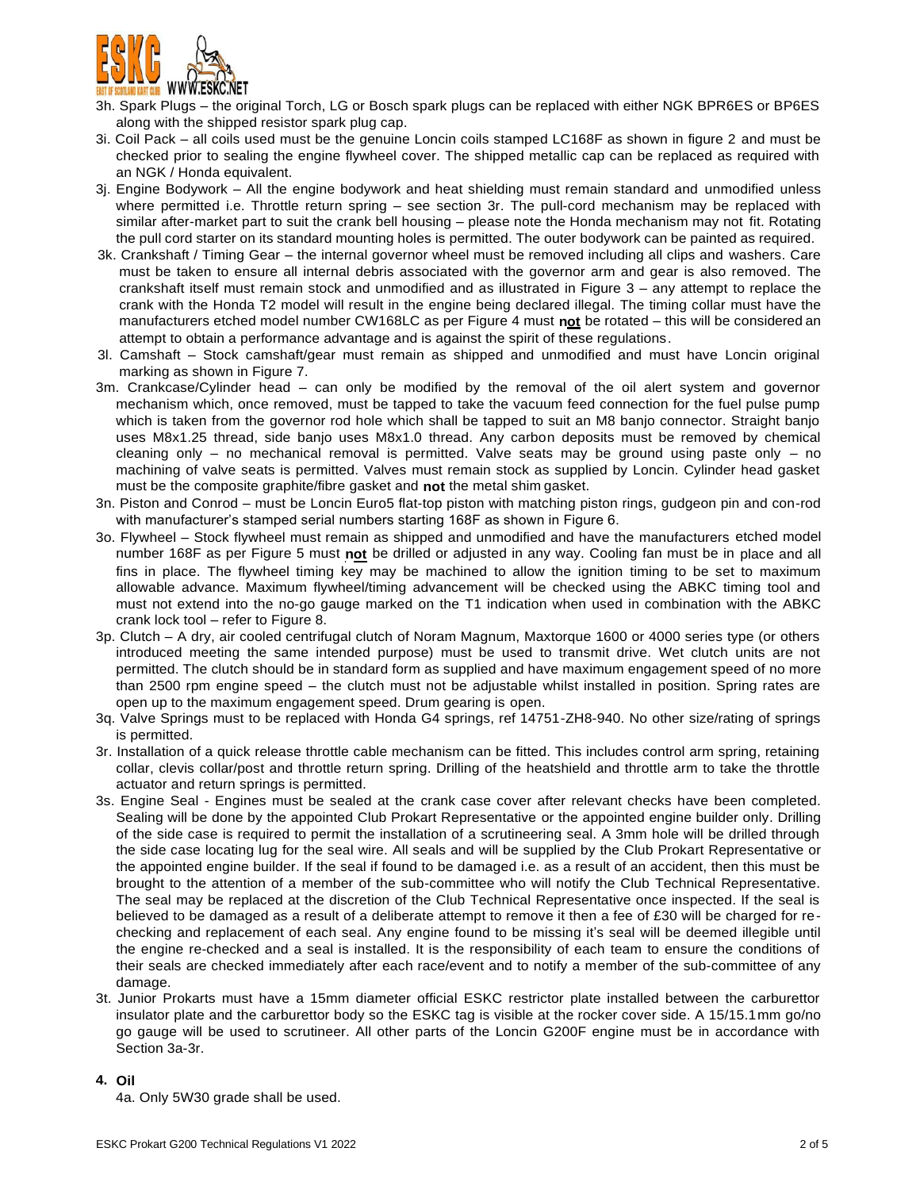

- 3h. Spark Plugs the original Torch, LG or Bosch spark plugs can be replaced with either NGK BPR6ES or BP6ES along with the shipped resistor spark plug cap.
- 3i. Coil Pack all coils used must be the genuine Loncin coils stamped LC168F as shown in figure 2 and must be checked prior to sealing the engine flywheel cover. The shipped metallic cap can be replaced as required with an NGK / Honda equivalent.
- 3j. Engine Bodywork All the engine bodywork and heat shielding must remain standard and unmodified unless where permitted i.e. Throttle return spring – see section 3r. The pull-cord mechanism may be replaced with similar after-market part to suit the crank bell housing – please note the Honda mechanism may not fit. Rotating the pull cord starter on its standard mounting holes is permitted. The outer bodywork can be painted as required.
- 3k. Crankshaft / Timing Gear the internal governor wheel must be removed including all clips and washers. Care must be taken to ensure all internal debris associated with the governor arm and gear is also removed. The crankshaft itself must remain stock and unmodified and as illustrated in Figure 3 – any attempt to replace the crank with the Honda T2 model will result in the engine being declared illegal. The timing collar must have the manufacturers etched model number CW168LC as per Figure 4 must **not** be rotated – this will be considered an attempt to obtain a performance advantage and is against the spirit of these regulations.
- 3l. Camshaft Stock camshaft/gear must remain as shipped and unmodified and must have Loncin original marking as shown in Figure 7.
- 3m. Crankcase/Cylinder head can only be modified by the removal of the oil alert system and governor mechanism which, once removed, must be tapped to take the vacuum feed connection for the fuel pulse pump which is taken from the governor rod hole which shall be tapped to suit an M8 banjo connector. Straight banjo uses M8x1.25 thread, side banjo uses M8x1.0 thread. Any carbon deposits must be removed by chemical cleaning only – no mechanical removal is permitted. Valve seats may be ground using paste only – no machining of valve seats is permitted. Valves must remain stock as supplied by Loncin. Cylinder head gasket must be the composite graphite/fibre gasket and **not** the metal shim gasket.
- 3n. Piston and Conrod must be Loncin Euro5 flat-top piston with matching piston rings, gudgeon pin and con-rod with manufacturer's stamped serial numbers starting 168F as shown in Figure 6.
- 3o. Flywheel Stock flywheel must remain as shipped and unmodified and have the manufacturers etched model number 168F as per Figure 5 must **not** be drilled or adjusted in any way. Cooling fan must be in place and all fins in place. The flywheel timing key may be machined to allow the ignition timing to be set to maximum allowable advance. Maximum flywheel/timing advancement will be checked using the ABKC timing tool and must not extend into the no-go gauge marked on the T1 indication when used in combination with the ABKC crank lock tool – refer to Figure 8.
- 3p. Clutch A dry, air cooled centrifugal clutch of Noram Magnum, Maxtorque 1600 or 4000 series type (or others introduced meeting the same intended purpose) must be used to transmit drive. Wet clutch units are not permitted. The clutch should be in standard form as supplied and have maximum engagement speed of no more than 2500 rpm engine speed – the clutch must not be adjustable whilst installed in position. Spring rates are open up to the maximum engagement speed. Drum gearing is open.
- 3q. Valve Springs must to be replaced with Honda G4 springs, ref 14751-ZH8-940. No other size/rating of springs is permitted.
- 3r. Installation of a quick release throttle cable mechanism can be fitted. This includes control arm spring, retaining collar, clevis collar/post and throttle return spring. Drilling of the heatshield and throttle arm to take the throttle actuator and return springs is permitted.
- 3s. Engine Seal Engines must be sealed at the crank case cover after relevant checks have been completed. Sealing will be done by the appointed Club Prokart Representative or the appointed engine builder only. Drilling of the side case is required to permit the installation of a scrutineering seal. A 3mm hole will be drilled through the side case locating lug for the seal wire. All seals and will be supplied by the Club Prokart Representative or the appointed engine builder. If the seal if found to be damaged i.e. as a result of an accident, then this must be brought to the attention of a member of the sub-committee who will notify the Club Technical Representative. The seal may be replaced at the discretion of the Club Technical Representative once inspected. If the seal is believed to be damaged as a result of a deliberate attempt to remove it then a fee of £30 will be charged for rechecking and replacement of each seal. Any engine found to be missing it's seal will be deemed illegible until the engine re-checked and a seal is installed. It is the responsibility of each team to ensure the conditions of their seals are checked immediately after each race/event and to notify a member of the sub-committee of any damage.
- 3t. Junior Prokarts must have a 15mm diameter official ESKC restrictor plate installed between the carburettor insulator plate and the carburettor body so the ESKC tag is visible at the rocker cover side. A 15/15.1mm go/no go gauge will be used to scrutineer. All other parts of the Loncin G200F engine must be in accordance with Section 3a-3r.

#### **4. Oil**

4a. Only 5W30 grade shall be used.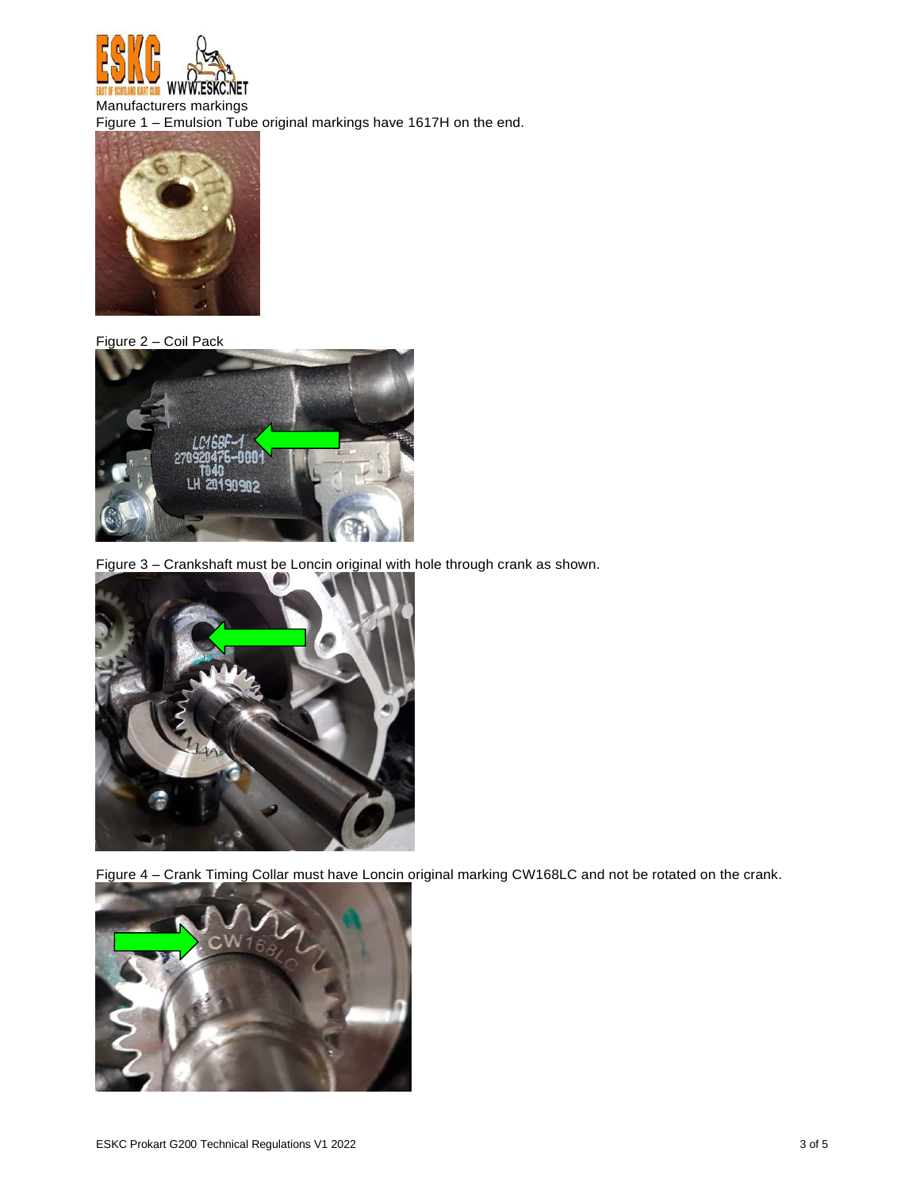

Manufacturers markings Figure 1 – Emulsion Tube original markings have 1617H on the end.



Figure 2 – Coil Pack



Figure 3 – Crankshaft must be Loncin original with hole through crank as shown.



Figure 4 – Crank Timing Collar must have Loncin original marking CW168LC and not be rotated on the crank.

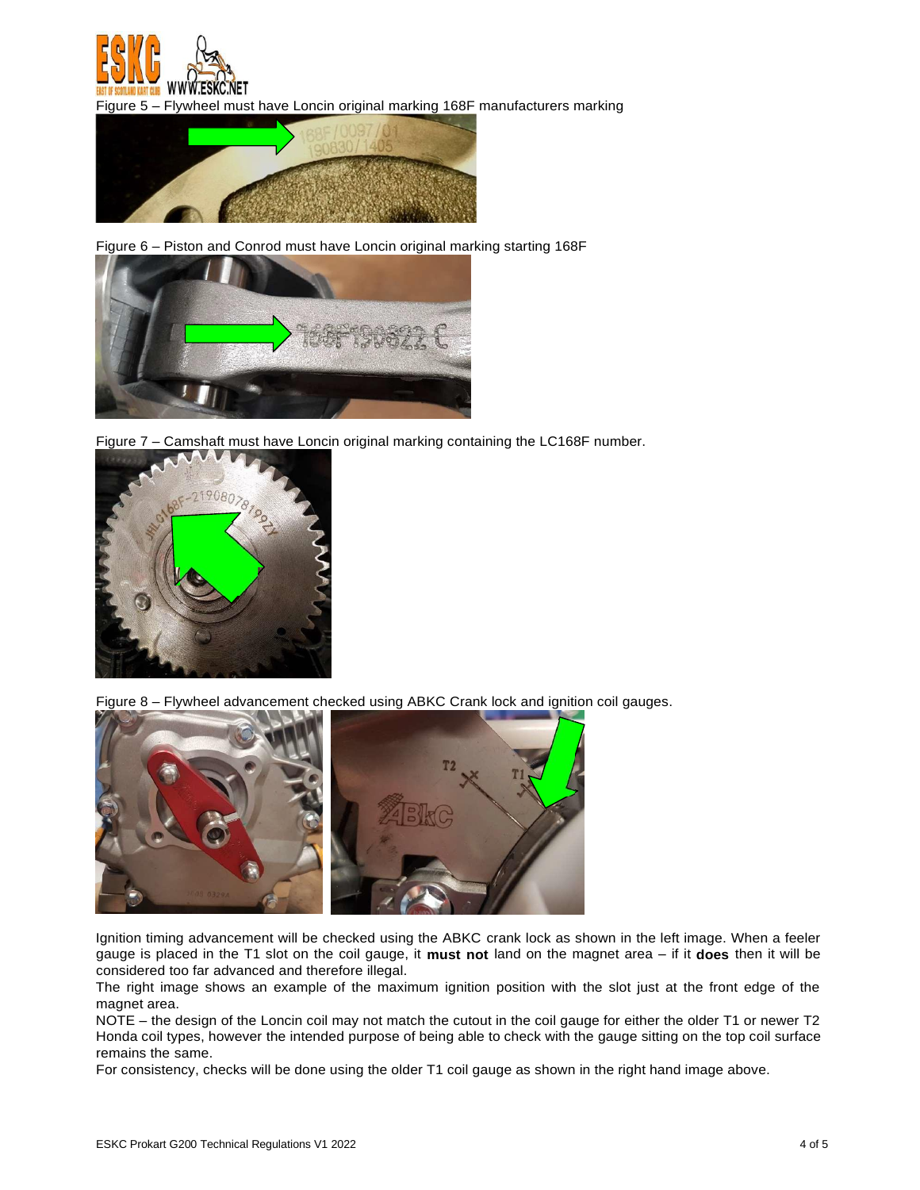

Figure 5 – Flywheel must have Loncin original marking 168F manufacturers marking



Figure 6 – Piston and Conrod must have Loncin original marking starting 168F



Figure 7 - Camshaft must have Loncin original marking containing the LC168F number.



Figure 8 – Flywheel advancement checked using ABKC Crank lock and ignition coil gauges.



Ignition timing advancement will be checked using the ABKC crank lock as shown in the left image. When a feeler gauge is placed in the T1 slot on the coil gauge, it **must not** land on the magnet area – if it **does** then it will be considered too far advanced and therefore illegal.

The right image shows an example of the maximum ignition position with the slot just at the front edge of the magnet area.

NOTE – the design of the Loncin coil may not match the cutout in the coil gauge for either the older T1 or newer T2 Honda coil types, however the intended purpose of being able to check with the gauge sitting on the top coil surface remains the same.

For consistency, checks will be done using the older T1 coil gauge as shown in the right hand image above.